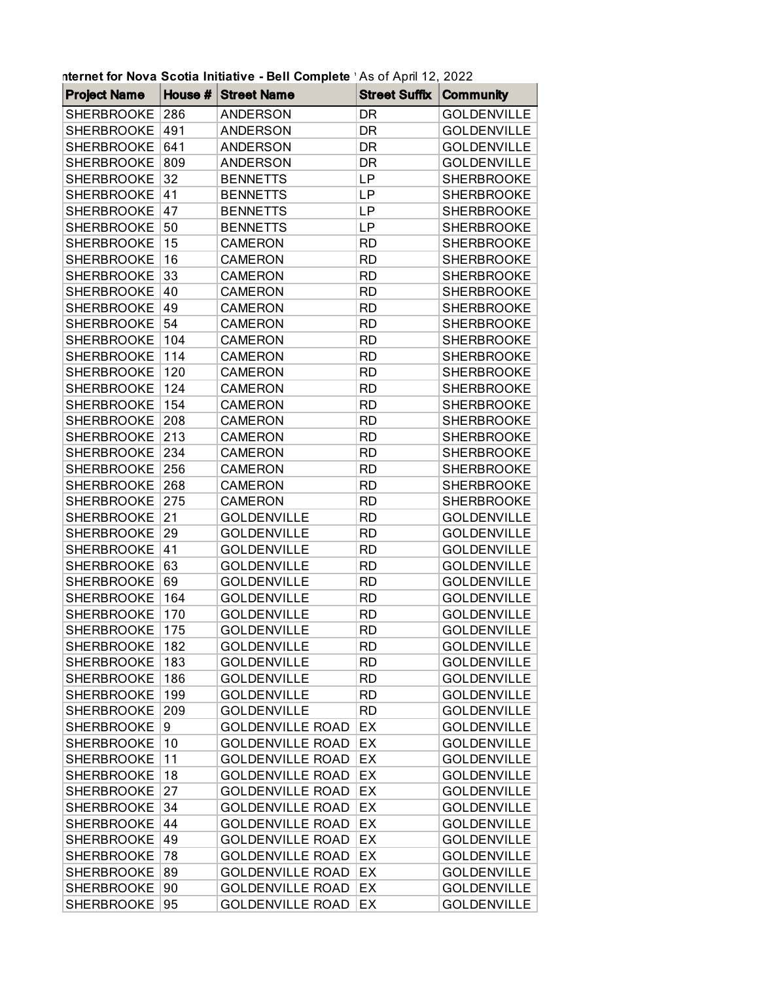|                                        |            | nternet for Nova Scotia Initiative - Bell Complete 'As of April 12, 2022 |                 |                                        |
|----------------------------------------|------------|--------------------------------------------------------------------------|-----------------|----------------------------------------|
| <b>Project Name</b>                    | House $#$  | <b>Street Name</b>                                                       | Street Suffix   | <b>Community</b>                       |
| <b>SHERBROOKE</b>                      | 286        | <b>ANDERSON</b>                                                          | DR              | <b>GOLDENVILLE</b>                     |
| <b>SHERBROOKE</b>                      | 491        | <b>ANDERSON</b>                                                          | DR              | <b>GOLDENVILLE</b>                     |
| <b>SHERBROOKE</b>                      | 641        | <b>ANDERSON</b>                                                          | DR              | <b>GOLDENVILLE</b>                     |
| <b>SHERBROOKE</b>                      | 809        | <b>ANDERSON</b>                                                          | DR              | <b>GOLDENVILLE</b>                     |
| <b>SHERBROOKE</b>                      | 32         | <b>BENNETTS</b>                                                          | LP              | <b>SHERBROOKE</b>                      |
| <b>SHERBROOKE</b>                      | 41         | <b>BENNETTS</b>                                                          | LP              | <b>SHERBROOKE</b>                      |
| <b>SHERBROOKE</b>                      | 47         | <b>BENNETTS</b>                                                          | LP              | <b>SHERBROOKE</b>                      |
| <b>SHERBROOKE</b>                      | 50         | <b>BENNETTS</b>                                                          | LР              | <b>SHERBROOKE</b>                      |
| <b>SHERBROOKE</b>                      | 15         | <b>CAMERON</b>                                                           | <b>RD</b>       | <b>SHERBROOKE</b>                      |
| <b>SHERBROOKE</b>                      | 16         | <b>CAMERON</b>                                                           | <b>RD</b>       | <b>SHERBROOKE</b>                      |
| <b>SHERBROOKE</b>                      | 33         | <b>CAMERON</b>                                                           | RD              | <b>SHERBROOKE</b>                      |
| <b>SHERBROOKE</b>                      | 40         | <b>CAMERON</b>                                                           | <b>RD</b>       | <b>SHERBROOKE</b>                      |
| <b>SHERBROOKE</b>                      | 49         | <b>CAMERON</b>                                                           | <b>RD</b>       | <b>SHERBROOKE</b>                      |
| <b>SHERBROOKE</b>                      | 54         | <b>CAMERON</b>                                                           | RD              | <b>SHERBROOKE</b>                      |
| <b>SHERBROOKE</b>                      | 104        | <b>CAMERON</b>                                                           | <b>RD</b>       | <b>SHERBROOKE</b>                      |
| <b>SHERBROOKE</b>                      | 114        | <b>CAMERON</b>                                                           | RD              | <b>SHERBROOKE</b>                      |
| <b>SHERBROOKE</b>                      | 120        | <b>CAMERON</b>                                                           | RD              | <b>SHERBROOKE</b>                      |
| <b>SHERBROOKE</b>                      | 124        | <b>CAMERON</b>                                                           | <b>RD</b>       | <b>SHERBROOKE</b>                      |
| <b>SHERBROOKE</b>                      | 154        | <b>CAMERON</b>                                                           | <b>RD</b>       | <b>SHERBROOKE</b>                      |
| <b>SHERBROOKE</b>                      | 208        | <b>CAMERON</b>                                                           | RD              | <b>SHERBROOKE</b>                      |
| <b>SHERBROOKE</b>                      | 213        | <b>CAMERON</b>                                                           | <b>RD</b>       | <b>SHERBROOKE</b>                      |
| <b>SHERBROOKE</b>                      | 234        | <b>CAMERON</b>                                                           | <b>RD</b>       | <b>SHERBROOKE</b>                      |
|                                        |            |                                                                          |                 |                                        |
| <b>SHERBROOKE</b><br><b>SHERBROOKE</b> | 256<br>268 | <b>CAMERON</b>                                                           | RD<br><b>RD</b> | <b>SHERBROOKE</b><br><b>SHERBROOKE</b> |
|                                        |            | <b>CAMERON</b>                                                           | <b>RD</b>       |                                        |
| <b>SHERBROOKE</b>                      | 275        | <b>CAMERON</b>                                                           |                 | <b>SHERBROOKE</b>                      |
| <b>SHERBROOKE</b>                      | 21         | <b>GOLDENVILLE</b>                                                       | RD              | <b>GOLDENVILLE</b>                     |
| <b>SHERBROOKE</b>                      | 29         | <b>GOLDENVILLE</b>                                                       | <b>RD</b>       | <b>GOLDENVILLE</b>                     |
| <b>SHERBROOKE</b>                      | 41         | <b>GOLDENVILLE</b>                                                       | RD              | <b>GOLDENVILLE</b>                     |
| <b>SHERBROOKE</b>                      | 63         | <b>GOLDENVILLE</b>                                                       | RD              | <b>GOLDENVILLE</b>                     |
| <b>SHERBROOKE</b>                      | 69         | <b>GOLDENVILLE</b>                                                       | <b>RD</b>       | <b>GOLDENVILLE</b>                     |
| <b>SHERBROOKE</b>                      | 164        | <b>GOLDENVILLE</b>                                                       | <b>RD</b>       | <b>GOLDENVILLE</b>                     |
| <b>SHERBROOKE</b>                      | 170        | <b>GOLDENVILLE</b>                                                       | RD              | <b>GOLDENVILLE</b>                     |
| <b>SHERBROOKE</b>                      | 175        | <b>GOLDENVILLE</b>                                                       | RD              | <b>GOLDENVILLE</b>                     |
| <b>SHERBROOKE</b>                      | 182        | <b>GOLDENVILLE</b>                                                       | RD              | <b>GOLDENVILLE</b>                     |
| <b>SHERBROOKE</b>                      | 183        | <b>GOLDENVILLE</b>                                                       | <b>RD</b>       | <b>GOLDENVILLE</b>                     |
| <b>SHERBROOKE</b>                      | 186        | <b>GOLDENVILLE</b>                                                       | <b>RD</b>       | <b>GOLDENVILLE</b>                     |
| <b>SHERBROOKE</b>                      | 199        | <b>GOLDENVILLE</b>                                                       | <b>RD</b>       | <b>GOLDENVILLE</b>                     |
| <b>SHERBROOKE</b>                      | 209        | <b>GOLDENVILLE</b>                                                       | <b>RD</b>       | <b>GOLDENVILLE</b>                     |
| <b>SHERBROOKE</b>                      | 9          | <b>GOLDENVILLE ROAD</b>                                                  | EX              | <b>GOLDENVILLE</b>                     |
| <b>SHERBROOKE</b>                      | 10         | <b>GOLDENVILLE ROAD</b>                                                  | EX              | <b>GOLDENVILLE</b>                     |
| <b>SHERBROOKE</b>                      | 11         | <b>GOLDENVILLE ROAD</b>                                                  | EX              | <b>GOLDENVILLE</b>                     |
| <b>SHERBROOKE</b>                      | 18         | <b>GOLDENVILLE ROAD</b>                                                  | EX              | <b>GOLDENVILLE</b>                     |
| <b>SHERBROOKE</b>                      | 27         | <b>GOLDENVILLE ROAD</b>                                                  | EX              | <b>GOLDENVILLE</b>                     |
| <b>SHERBROOKE</b>                      | 34         | <b>GOLDENVILLE ROAD</b>                                                  | EX              | <b>GOLDENVILLE</b>                     |
| <b>SHERBROOKE</b>                      | 44         | <b>GOLDENVILLE ROAD</b>                                                  | EX              | <b>GOLDENVILLE</b>                     |
| <b>SHERBROOKE</b>                      | 49         | <b>GOLDENVILLE ROAD</b>                                                  | EX              | <b>GOLDENVILLE</b>                     |
| <b>SHERBROOKE</b>                      | 78         | <b>GOLDENVILLE ROAD</b>                                                  | EX              | <b>GOLDENVILLE</b>                     |
| <b>SHERBROOKE</b>                      | 89         | <b>GOLDENVILLE ROAD</b>                                                  | EX              | <b>GOLDENVILLE</b>                     |
| <b>SHERBROOKE</b>                      | 90         | <b>GOLDENVILLE ROAD</b>                                                  | EX              | <b>GOLDENVILLE</b>                     |
| <b>SHERBROOKE</b>                      | 95         | <b>GOLDENVILLE ROAD</b>                                                  | EX              | <b>GOLDENVILLE</b>                     |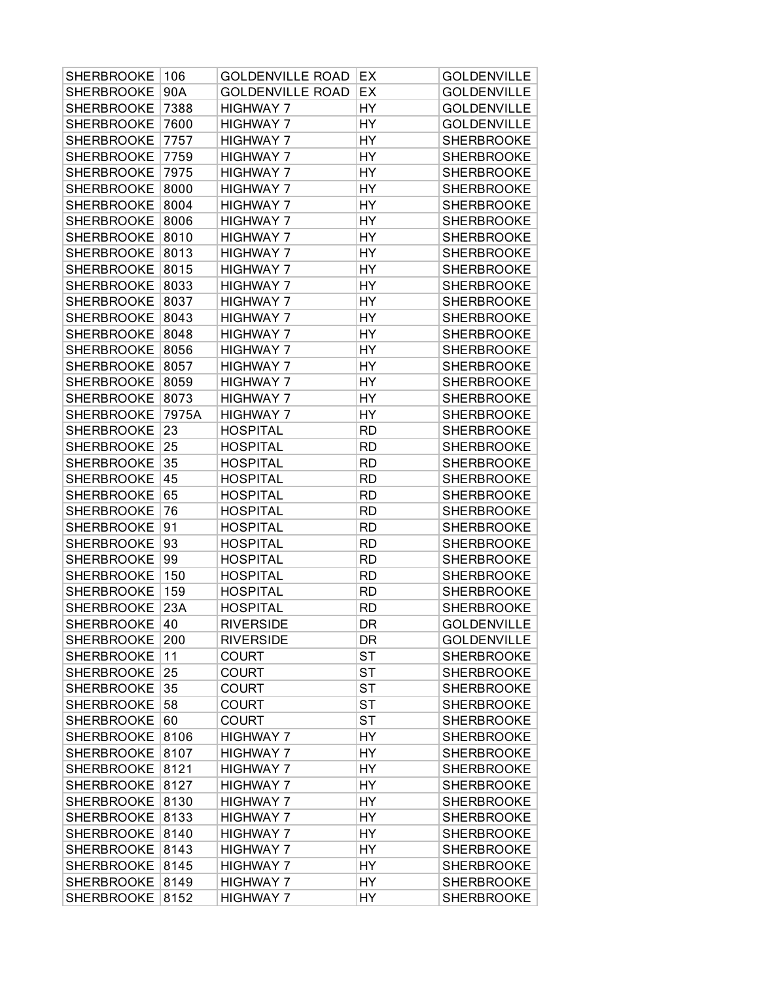| <b>SHERBROOKE</b> | 106   | <b>GOLDENVILLE ROAD</b> | EX        | GOLDENVILLE        |
|-------------------|-------|-------------------------|-----------|--------------------|
| <b>SHERBROOKE</b> | 90A   | <b>GOLDENVILLE ROAD</b> | EX        | <b>GOLDENVILLE</b> |
| <b>SHERBROOKE</b> | 7388  | <b>HIGHWAY 7</b>        | HY        | <b>GOLDENVILLE</b> |
| <b>SHERBROOKE</b> | 7600  | <b>HIGHWAY 7</b>        | HY        | <b>GOLDENVILLE</b> |
| <b>SHERBROOKE</b> | 7757  | <b>HIGHWAY 7</b>        | HY        | <b>SHERBROOKE</b>  |
| <b>SHERBROOKE</b> | 7759  | <b>HIGHWAY 7</b>        | HY        | <b>SHERBROOKE</b>  |
| <b>SHERBROOKE</b> | 7975  | <b>HIGHWAY 7</b>        | HY        | <b>SHERBROOKE</b>  |
| <b>SHERBROOKE</b> | 8000  | <b>HIGHWAY 7</b>        | HY        | <b>SHERBROOKE</b>  |
| <b>SHERBROOKE</b> | 8004  | <b>HIGHWAY 7</b>        | HY        | <b>SHERBROOKE</b>  |
| <b>SHERBROOKE</b> | 8006  | <b>HIGHWAY 7</b>        | HY        | <b>SHERBROOKE</b>  |
| <b>SHERBROOKE</b> | 8010  | <b>HIGHWAY 7</b>        | HY        | <b>SHERBROOKE</b>  |
| <b>SHERBROOKE</b> | 8013  | <b>HIGHWAY 7</b>        | HY        | <b>SHERBROOKE</b>  |
| <b>SHERBROOKE</b> | 8015  | <b>HIGHWAY 7</b>        | HY        | <b>SHERBROOKE</b>  |
| <b>SHERBROOKE</b> | 8033  | <b>HIGHWAY 7</b>        | HY        | <b>SHERBROOKE</b>  |
| <b>SHERBROOKE</b> | 8037  | <b>HIGHWAY 7</b>        | HY        | <b>SHERBROOKE</b>  |
| <b>SHERBROOKE</b> | 8043  | <b>HIGHWAY 7</b>        | HY        | <b>SHERBROOKE</b>  |
| <b>SHERBROOKE</b> | 8048  | <b>HIGHWAY 7</b>        | HY        | <b>SHERBROOKE</b>  |
| <b>SHERBROOKE</b> | 8056  | <b>HIGHWAY 7</b>        | HY        | <b>SHERBROOKE</b>  |
| <b>SHERBROOKE</b> | 8057  | <b>HIGHWAY 7</b>        | HY        | <b>SHERBROOKE</b>  |
| <b>SHERBROOKE</b> | 8059  | <b>HIGHWAY 7</b>        | HY        | <b>SHERBROOKE</b>  |
| <b>SHERBROOKE</b> | 8073  | <b>HIGHWAY 7</b>        | HY        | <b>SHERBROOKE</b>  |
| <b>SHERBROOKE</b> | 7975A | <b>HIGHWAY 7</b>        | HY        | <b>SHERBROOKE</b>  |
| <b>SHERBROOKE</b> | 23    | <b>HOSPITAL</b>         | <b>RD</b> | <b>SHERBROOKE</b>  |
| <b>SHERBROOKE</b> | 25    | <b>HOSPITAL</b>         | <b>RD</b> | <b>SHERBROOKE</b>  |
| <b>SHERBROOKE</b> | 35    | <b>HOSPITAL</b>         | <b>RD</b> | <b>SHERBROOKE</b>  |
| <b>SHERBROOKE</b> | 45    | <b>HOSPITAL</b>         | <b>RD</b> | <b>SHERBROOKE</b>  |
| <b>SHERBROOKE</b> | 65    | <b>HOSPITAL</b>         | <b>RD</b> | <b>SHERBROOKE</b>  |
| <b>SHERBROOKE</b> | 76    | <b>HOSPITAL</b>         | <b>RD</b> | <b>SHERBROOKE</b>  |
| <b>SHERBROOKE</b> | 91    | <b>HOSPITAL</b>         | <b>RD</b> | <b>SHERBROOKE</b>  |
| <b>SHERBROOKE</b> | 93    | <b>HOSPITAL</b>         | <b>RD</b> | <b>SHERBROOKE</b>  |
| <b>SHERBROOKE</b> | 99    | <b>HOSPITAL</b>         | <b>RD</b> | <b>SHERBROOKE</b>  |
| <b>SHERBROOKE</b> | 150   | <b>HOSPITAL</b>         | <b>RD</b> | <b>SHERBROOKE</b>  |
| <b>SHERBROOKE</b> | 159   | <b>HOSPITAL</b>         | <b>RD</b> | <b>SHERBROOKE</b>  |
| <b>SHERBROOKE</b> | 23A   | <b>HOSPITAL</b>         | <b>RD</b> | <b>SHERBROOKE</b>  |
| SHERBROOKE 40     |       | <b>RIVERSIDE</b>        | DR        | <b>GOLDENVILLE</b> |
| <b>SHERBROOKE</b> | 200   | <b>RIVERSIDE</b>        | DR        | <b>GOLDENVILLE</b> |
| <b>SHERBROOKE</b> | 11    | <b>COURT</b>            | <b>ST</b> | <b>SHERBROOKE</b>  |
| <b>SHERBROOKE</b> | 25    | <b>COURT</b>            | <b>ST</b> | SHERBROOKE         |
| <b>SHERBROOKE</b> | 35    | <b>COURT</b>            | <b>ST</b> | <b>SHERBROOKE</b>  |
| <b>SHERBROOKE</b> | 58    | <b>COURT</b>            | ST        | <b>SHERBROOKE</b>  |
| <b>SHERBROOKE</b> | 60    | <b>COURT</b>            | <b>ST</b> | <b>SHERBROOKE</b>  |
| <b>SHERBROOKE</b> | 8106  | <b>HIGHWAY 7</b>        | HY        | <b>SHERBROOKE</b>  |
| <b>SHERBROOKE</b> | 8107  | <b>HIGHWAY 7</b>        | HY        | <b>SHERBROOKE</b>  |
| <b>SHERBROOKE</b> | 8121  | <b>HIGHWAY 7</b>        | HY        | <b>SHERBROOKE</b>  |
| <b>SHERBROOKE</b> | 8127  | <b>HIGHWAY 7</b>        | HY        | <b>SHERBROOKE</b>  |
| <b>SHERBROOKE</b> | 8130  | <b>HIGHWAY 7</b>        | HY        | <b>SHERBROOKE</b>  |
| <b>SHERBROOKE</b> | 8133  | <b>HIGHWAY 7</b>        | HY        | <b>SHERBROOKE</b>  |
| <b>SHERBROOKE</b> | 8140  | <b>HIGHWAY 7</b>        | HY        | <b>SHERBROOKE</b>  |
| <b>SHERBROOKE</b> | 8143  | <b>HIGHWAY 7</b>        | HY        | <b>SHERBROOKE</b>  |
| <b>SHERBROOKE</b> | 8145  | <b>HIGHWAY 7</b>        | HY        | SHERBROOKE         |
| <b>SHERBROOKE</b> | 8149  | <b>HIGHWAY 7</b>        | HY        | <b>SHERBROOKE</b>  |
| <b>SHERBROOKE</b> | 8152  | <b>HIGHWAY 7</b>        | HY        | SHERBROOKE         |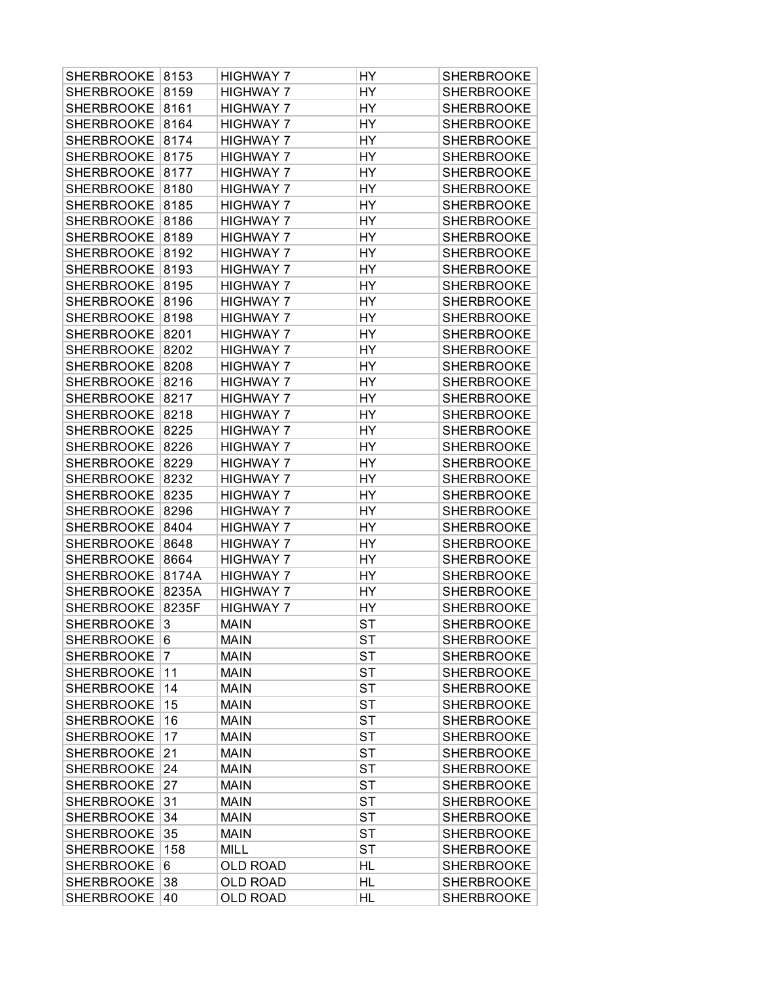| <b>SHERBROOKE</b> | 8153  | <b>HIGHWAY 7</b> | HY        | <b>SHERBROOKE</b> |
|-------------------|-------|------------------|-----------|-------------------|
| <b>SHERBROOKE</b> | 8159  | <b>HIGHWAY 7</b> | HY        | <b>SHERBROOKE</b> |
| <b>SHERBROOKE</b> | 8161  | <b>HIGHWAY 7</b> | HY        | <b>SHERBROOKE</b> |
| <b>SHERBROOKE</b> | 8164  | <b>HIGHWAY 7</b> | HY        | <b>SHERBROOKE</b> |
| <b>SHERBROOKE</b> | 8174  | <b>HIGHWAY 7</b> | HY        | <b>SHERBROOKE</b> |
| <b>SHERBROOKE</b> | 8175  | <b>HIGHWAY 7</b> | HY        | <b>SHERBROOKE</b> |
| SHERBROOKE        | 8177  | <b>HIGHWAY 7</b> | HY        | <b>SHERBROOKE</b> |
| SHERBROOKE        | 8180  | <b>HIGHWAY 7</b> | HY        | <b>SHERBROOKE</b> |
| <b>SHERBROOKE</b> | 8185  | <b>HIGHWAY 7</b> | HY        | <b>SHERBROOKE</b> |
| <b>SHERBROOKE</b> | 8186  | <b>HIGHWAY 7</b> | HY        | <b>SHERBROOKE</b> |
| <b>SHERBROOKE</b> | 8189  | <b>HIGHWAY 7</b> | HY        | <b>SHERBROOKE</b> |
| <b>SHERBROOKE</b> | 8192  | <b>HIGHWAY 7</b> | HY        | <b>SHERBROOKE</b> |
| SHERBROOKE        | 8193  | <b>HIGHWAY 7</b> | HY        | <b>SHERBROOKE</b> |
| <b>SHERBROOKE</b> | 8195  | <b>HIGHWAY 7</b> | HY        | <b>SHERBROOKE</b> |
| <b>SHERBROOKE</b> | 8196  | <b>HIGHWAY 7</b> | HY        | <b>SHERBROOKE</b> |
| <b>SHERBROOKE</b> | 8198  | <b>HIGHWAY 7</b> | HY        | <b>SHERBROOKE</b> |
| <b>SHERBROOKE</b> | 8201  | <b>HIGHWAY 7</b> | HY        | <b>SHERBROOKE</b> |
| <b>SHERBROOKE</b> | 8202  | <b>HIGHWAY 7</b> | HY        | <b>SHERBROOKE</b> |
| SHERBROOKE        | 8208  | <b>HIGHWAY 7</b> | HY        | <b>SHERBROOKE</b> |
| <b>SHERBROOKE</b> | 8216  | <b>HIGHWAY 7</b> | HY        | <b>SHERBROOKE</b> |
| <b>SHERBROOKE</b> | 8217  | <b>HIGHWAY 7</b> | HY        | <b>SHERBROOKE</b> |
| <b>SHERBROOKE</b> | 8218  | <b>HIGHWAY 7</b> | HY        | <b>SHERBROOKE</b> |
| <b>SHERBROOKE</b> | 8225  | <b>HIGHWAY 7</b> | HY        | <b>SHERBROOKE</b> |
| <b>SHERBROOKE</b> | 8226  | <b>HIGHWAY 7</b> | HY        | <b>SHERBROOKE</b> |
| SHERBROOKE        | 8229  | <b>HIGHWAY 7</b> | HY        | <b>SHERBROOKE</b> |
| <b>SHERBROOKE</b> | 8232  | <b>HIGHWAY 7</b> | HY        | <b>SHERBROOKE</b> |
| <b>SHERBROOKE</b> | 8235  | <b>HIGHWAY 7</b> | HY        | <b>SHERBROOKE</b> |
| <b>SHERBROOKE</b> | 8296  | <b>HIGHWAY 7</b> | HY        | <b>SHERBROOKE</b> |
| <b>SHERBROOKE</b> | 8404  | <b>HIGHWAY 7</b> | HY        | <b>SHERBROOKE</b> |
| <b>SHERBROOKE</b> | 8648  | <b>HIGHWAY 7</b> | HY        | <b>SHERBROOKE</b> |
| SHERBROOKE        | 8664  | <b>HIGHWAY 7</b> | HY        | <b>SHERBROOKE</b> |
| <b>SHERBROOKE</b> | 8174A | <b>HIGHWAY 7</b> | HY        | <b>SHERBROOKE</b> |
| <b>SHERBROOKE</b> | 8235A | <b>HIGHWAY 7</b> | HY        | <b>SHERBROOKE</b> |
| <b>SHERBROOKE</b> | 8235F | <b>HIGHWAY 7</b> | HY        | <b>SHERBROOKE</b> |
| SHERBROOKE        | 3     | MAIN             | <b>ST</b> | SHERBROOKE        |
| <b>SHERBROOKE</b> | 6     | <b>MAIN</b>      | SТ        | <b>SHERBROOKE</b> |
| <b>SHERBROOKE</b> | 7     | <b>MAIN</b>      | ST        | <b>SHERBROOKE</b> |
| <b>SHERBROOKE</b> | 11    | <b>MAIN</b>      | ST        | <b>SHERBROOKE</b> |
| <b>SHERBROOKE</b> | 14    | <b>MAIN</b>      | <b>ST</b> | <b>SHERBROOKE</b> |
| <b>SHERBROOKE</b> | 15    | <b>MAIN</b>      | ST        | <b>SHERBROOKE</b> |
| SHERBROOKE        | 16    | <b>MAIN</b>      | <b>ST</b> | <b>SHERBROOKE</b> |
| <b>SHERBROOKE</b> | 17    | <b>MAIN</b>      | ST        | <b>SHERBROOKE</b> |
| SHERBROOKE        | 21    | <b>MAIN</b>      | ST        | <b>SHERBROOKE</b> |
| <b>SHERBROOKE</b> | 24    | <b>MAIN</b>      | ST        | <b>SHERBROOKE</b> |
| <b>SHERBROOKE</b> | 27    | <b>MAIN</b>      | <b>ST</b> | <b>SHERBROOKE</b> |
| <b>SHERBROOKE</b> | 31    | <b>MAIN</b>      | ST        | <b>SHERBROOKE</b> |
| <b>SHERBROOKE</b> | 34    | <b>MAIN</b>      | <b>ST</b> | <b>SHERBROOKE</b> |
| <b>SHERBROOKE</b> | 35    | <b>MAIN</b>      | ST        | <b>SHERBROOKE</b> |
| SHERBROOKE        | 158   | <b>MILL</b>      | ST        | <b>SHERBROOKE</b> |
| <b>SHERBROOKE</b> | 6     | <b>OLD ROAD</b>  | HL        | <b>SHERBROOKE</b> |
| <b>SHERBROOKE</b> | 38    | <b>OLD ROAD</b>  | HL        | <b>SHERBROOKE</b> |
| <b>SHERBROOKE</b> | 40    | <b>OLD ROAD</b>  | HL        | <b>SHERBROOKE</b> |
|                   |       |                  |           |                   |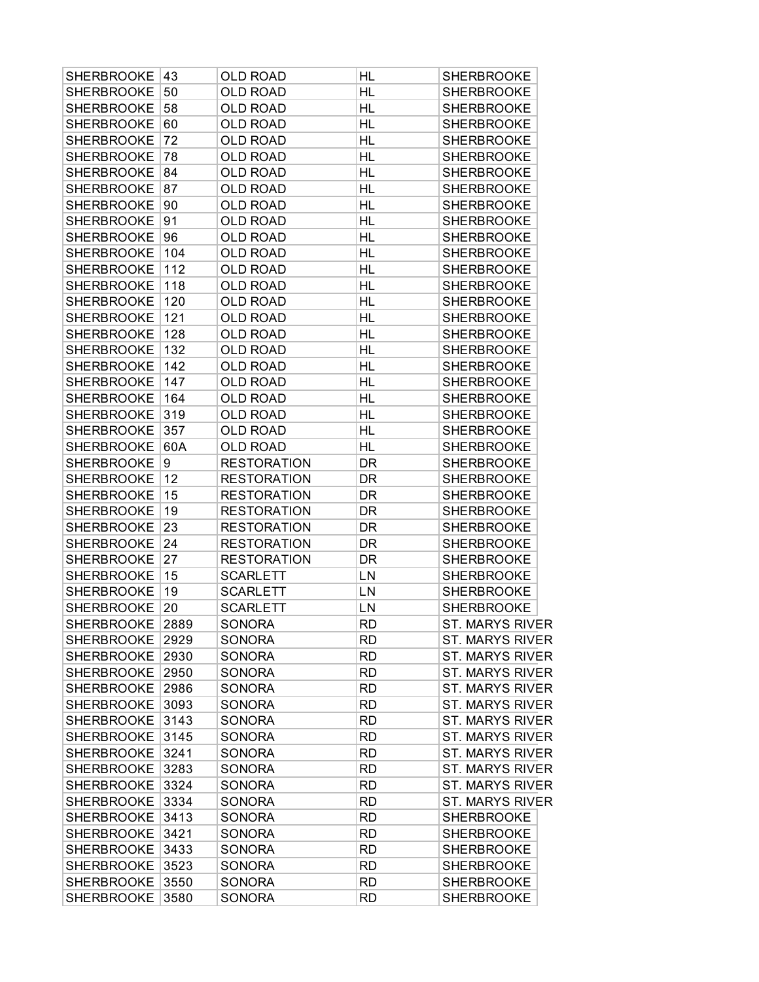| <b>SHERBROOKE</b> | 43   | OLD ROAD           | HL        | <b>SHERBROOKE</b>      |
|-------------------|------|--------------------|-----------|------------------------|
| <b>SHERBROOKE</b> | 50   | <b>OLD ROAD</b>    | HL        | <b>SHERBROOKE</b>      |
| <b>SHERBROOKE</b> | 58   | <b>OLD ROAD</b>    | HL        | <b>SHERBROOKE</b>      |
| <b>SHERBROOKE</b> | 60   | <b>OLD ROAD</b>    | HL        | <b>SHERBROOKE</b>      |
| <b>SHERBROOKE</b> | 72   | <b>OLD ROAD</b>    | <b>HL</b> | <b>SHERBROOKE</b>      |
| <b>SHERBROOKE</b> | 78   | <b>OLD ROAD</b>    | HL        | <b>SHERBROOKE</b>      |
| <b>SHERBROOKE</b> | 84   | <b>OLD ROAD</b>    | HL        | <b>SHERBROOKE</b>      |
| <b>SHERBROOKE</b> | 87   | <b>OLD ROAD</b>    | HL        | <b>SHERBROOKE</b>      |
| <b>SHERBROOKE</b> | 90   | <b>OLD ROAD</b>    | HL        | <b>SHERBROOKE</b>      |
| <b>SHERBROOKE</b> | 91   | <b>OLD ROAD</b>    | HL        | <b>SHERBROOKE</b>      |
| <b>SHERBROOKE</b> | 96   | <b>OLD ROAD</b>    | <b>HL</b> | <b>SHERBROOKE</b>      |
| <b>SHERBROOKE</b> | 104  | <b>OLD ROAD</b>    | HL        | <b>SHERBROOKE</b>      |
| <b>SHERBROOKE</b> | 112  | <b>OLD ROAD</b>    | HL        | <b>SHERBROOKE</b>      |
| <b>SHERBROOKE</b> | 118  | <b>OLD ROAD</b>    | HL        | <b>SHERBROOKE</b>      |
| <b>SHERBROOKE</b> | 120  | <b>OLD ROAD</b>    | HL        | <b>SHERBROOKE</b>      |
| <b>SHERBROOKE</b> | 121  | <b>OLD ROAD</b>    | HL        | <b>SHERBROOKE</b>      |
| <b>SHERBROOKE</b> | 128  | <b>OLD ROAD</b>    | HL        | <b>SHERBROOKE</b>      |
| <b>SHERBROOKE</b> | 132  | <b>OLD ROAD</b>    | HL        | <b>SHERBROOKE</b>      |
| <b>SHERBROOKE</b> | 142  | <b>OLD ROAD</b>    | HL        | <b>SHERBROOKE</b>      |
| <b>SHERBROOKE</b> | 147  | <b>OLD ROAD</b>    | HL        | <b>SHERBROOKE</b>      |
| <b>SHERBROOKE</b> | 164  | <b>OLD ROAD</b>    | HL        | <b>SHERBROOKE</b>      |
| <b>SHERBROOKE</b> | 319  | <b>OLD ROAD</b>    | HL        | <b>SHERBROOKE</b>      |
| <b>SHERBROOKE</b> | 357  | <b>OLD ROAD</b>    | HL        | <b>SHERBROOKE</b>      |
| <b>SHERBROOKE</b> | 60A  | <b>OLD ROAD</b>    | HL        | <b>SHERBROOKE</b>      |
| <b>SHERBROOKE</b> | 9    | <b>RESTORATION</b> | <b>DR</b> | <b>SHERBROOKE</b>      |
| <b>SHERBROOKE</b> | 12   | <b>RESTORATION</b> | DR        | <b>SHERBROOKE</b>      |
| <b>SHERBROOKE</b> | 15   | <b>RESTORATION</b> | DR        | <b>SHERBROOKE</b>      |
| <b>SHERBROOKE</b> | 19   | <b>RESTORATION</b> | DR        | <b>SHERBROOKE</b>      |
| <b>SHERBROOKE</b> | 23   | <b>RESTORATION</b> | DR        | <b>SHERBROOKE</b>      |
| <b>SHERBROOKE</b> | 24   | <b>RESTORATION</b> | DR        | <b>SHERBROOKE</b>      |
| <b>SHERBROOKE</b> | 27   | <b>RESTORATION</b> | DR        | <b>SHERBROOKE</b>      |
| <b>SHERBROOKE</b> | 15   | <b>SCARLETT</b>    | LN        | <b>SHERBROOKE</b>      |
| <b>SHERBROOKE</b> | 19   | <b>SCARLETT</b>    | LN        | <b>SHERBROOKE</b>      |
| <b>SHERBROOKE</b> | 20   | <b>SCARLETT</b>    | LN        | <b>SHERBROOKE</b>      |
| SHERBROOKE 2889   |      | <b>SONORA</b>      | <b>RD</b> | ST. MARYS RIVER        |
| <b>SHERBROOKE</b> | 2929 | SONORA             | <b>RD</b> | <b>ST. MARYS RIVER</b> |
| SHERBROOKE        | 2930 | SONORA             | <b>RD</b> | <b>ST. MARYS RIVER</b> |
| SHERBROOKE        | 2950 | SONORA             | <b>RD</b> | <b>ST. MARYS RIVER</b> |
| SHERBROOKE        | 2986 | SONORA             | RD        | <b>ST. MARYS RIVER</b> |
| <b>SHERBROOKE</b> | 3093 | SONORA             | <b>RD</b> | <b>ST. MARYS RIVER</b> |
| SHERBROOKE        | 3143 | <b>SONORA</b>      | <b>RD</b> | <b>ST. MARYS RIVER</b> |
| SHERBROOKE        | 3145 | SONORA             | RD        | <b>ST. MARYS RIVER</b> |
| SHERBROOKE        | 3241 | SONORA             | <b>RD</b> | <b>ST. MARYS RIVER</b> |
| SHERBROOKE 3283   |      | SONORA             | <b>RD</b> | <b>ST. MARYS RIVER</b> |
| SHERBROOKE        | 3324 | SONORA             | <b>RD</b> | <b>ST. MARYS RIVER</b> |
| SHERBROOKE        | 3334 | SONORA             | <b>RD</b> | <b>ST. MARYS RIVER</b> |
| SHERBROOKE        | 3413 | SONORA             | <b>RD</b> | <b>SHERBROOKE</b>      |
| SHERBROOKE        | 3421 | SONORA             | RD        | <b>SHERBROOKE</b>      |
| SHERBROOKE        | 3433 | SONORA             | <b>RD</b> | <b>SHERBROOKE</b>      |
| SHERBROOKE        | 3523 | SONORA             | <b>RD</b> | <b>SHERBROOKE</b>      |
| SHERBROOKE        | 3550 | SONORA             | <b>RD</b> | <b>SHERBROOKE</b>      |
| SHERBROOKE        | 3580 | SONORA             | <b>RD</b> | <b>SHERBROOKE</b>      |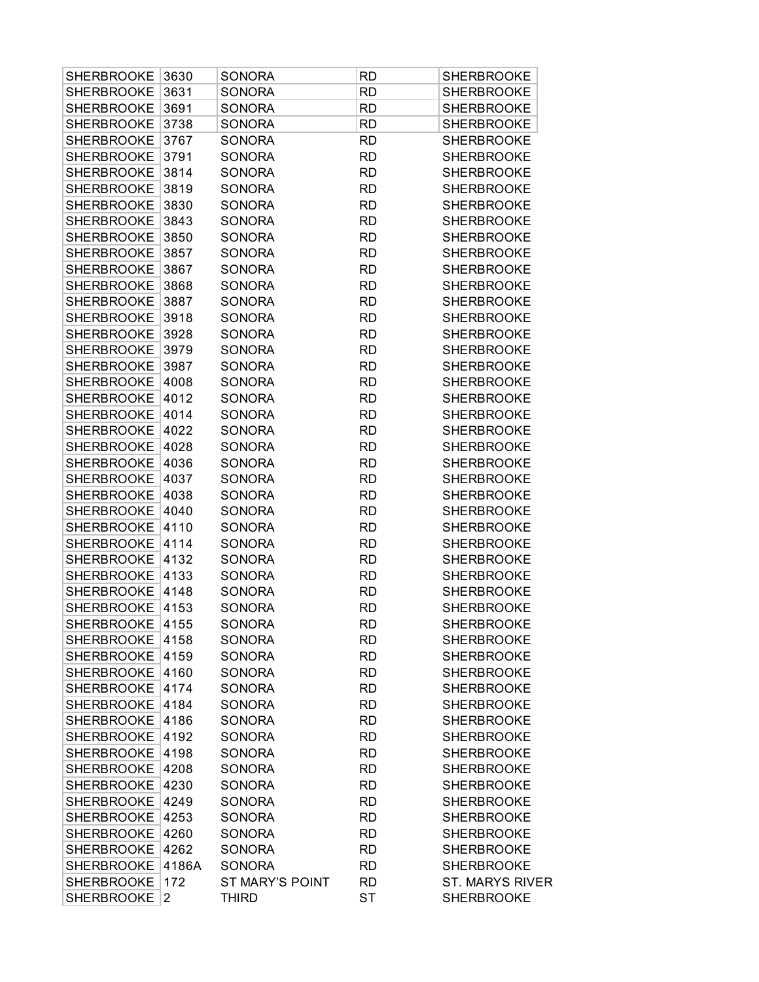| <b>SHERBROOKE</b> | 3630  | SONORA                 | <b>RD</b> | <b>SHERBROOKE</b>      |
|-------------------|-------|------------------------|-----------|------------------------|
| <b>SHERBROOKE</b> | 3631  | <b>SONORA</b>          | <b>RD</b> | <b>SHERBROOKE</b>      |
| <b>SHERBROOKE</b> | 3691  | <b>SONORA</b>          | <b>RD</b> | <b>SHERBROOKE</b>      |
| <b>SHERBROOKE</b> | 3738  | <b>SONORA</b>          | <b>RD</b> | <b>SHERBROOKE</b>      |
| <b>SHERBROOKE</b> | 3767  | <b>SONORA</b>          | <b>RD</b> | <b>SHERBROOKE</b>      |
| <b>SHERBROOKE</b> | 3791  | <b>SONORA</b>          | <b>RD</b> | <b>SHERBROOKE</b>      |
| <b>SHERBROOKE</b> | 3814  | <b>SONORA</b>          | <b>RD</b> | <b>SHERBROOKE</b>      |
| <b>SHERBROOKE</b> | 3819  | <b>SONORA</b>          | <b>RD</b> | <b>SHERBROOKE</b>      |
| <b>SHERBROOKE</b> | 3830  | <b>SONORA</b>          | <b>RD</b> | <b>SHERBROOKE</b>      |
| <b>SHERBROOKE</b> | 3843  | <b>SONORA</b>          | <b>RD</b> | <b>SHERBROOKE</b>      |
| <b>SHERBROOKE</b> | 3850  | <b>SONORA</b>          | <b>RD</b> | <b>SHERBROOKE</b>      |
| <b>SHERBROOKE</b> | 3857  | <b>SONORA</b>          | <b>RD</b> | <b>SHERBROOKE</b>      |
| <b>SHERBROOKE</b> | 3867  | <b>SONORA</b>          | <b>RD</b> | <b>SHERBROOKE</b>      |
| <b>SHERBROOKE</b> | 3868  | <b>SONORA</b>          | <b>RD</b> | <b>SHERBROOKE</b>      |
| <b>SHERBROOKE</b> | 3887  | <b>SONORA</b>          | <b>RD</b> | <b>SHERBROOKE</b>      |
| <b>SHERBROOKE</b> | 3918  | <b>SONORA</b>          | <b>RD</b> | <b>SHERBROOKE</b>      |
| <b>SHERBROOKE</b> | 3928  | <b>SONORA</b>          | <b>RD</b> | <b>SHERBROOKE</b>      |
| <b>SHERBROOKE</b> | 3979  | <b>SONORA</b>          | <b>RD</b> | <b>SHERBROOKE</b>      |
| <b>SHERBROOKE</b> | 3987  | <b>SONORA</b>          | <b>RD</b> | <b>SHERBROOKE</b>      |
| <b>SHERBROOKE</b> | 4008  | <b>SONORA</b>          | <b>RD</b> | <b>SHERBROOKE</b>      |
| <b>SHERBROOKE</b> | 4012  | <b>SONORA</b>          | <b>RD</b> | <b>SHERBROOKE</b>      |
| <b>SHERBROOKE</b> | 4014  | <b>SONORA</b>          | <b>RD</b> | <b>SHERBROOKE</b>      |
| <b>SHERBROOKE</b> | 4022  | <b>SONORA</b>          | <b>RD</b> | <b>SHERBROOKE</b>      |
| <b>SHERBROOKE</b> | 4028  | <b>SONORA</b>          | <b>RD</b> | <b>SHERBROOKE</b>      |
| <b>SHERBROOKE</b> | 4036  | <b>SONORA</b>          | <b>RD</b> | <b>SHERBROOKE</b>      |
| <b>SHERBROOKE</b> | 4037  | <b>SONORA</b>          | <b>RD</b> | <b>SHERBROOKE</b>      |
| <b>SHERBROOKE</b> | 4038  | <b>SONORA</b>          | <b>RD</b> | <b>SHERBROOKE</b>      |
| <b>SHERBROOKE</b> | 4040  | <b>SONORA</b>          | <b>RD</b> | <b>SHERBROOKE</b>      |
| <b>SHERBROOKE</b> | 4110  | <b>SONORA</b>          | <b>RD</b> | <b>SHERBROOKE</b>      |
| <b>SHERBROOKE</b> | 4114  | <b>SONORA</b>          | <b>RD</b> | <b>SHERBROOKE</b>      |
| <b>SHERBROOKE</b> | 4132  | <b>SONORA</b>          | <b>RD</b> | <b>SHERBROOKE</b>      |
| <b>SHERBROOKE</b> | 4133  | <b>SONORA</b>          | <b>RD</b> | <b>SHERBROOKE</b>      |
| <b>SHERBROOKE</b> | 4148  | <b>SONORA</b>          | RD        | <b>SHERBROOKE</b>      |
| <b>SHERBROOKE</b> | 4153  | <b>SONORA</b>          | RD        | <b>SHERBROOKE</b>      |
| SHERBROOKE 4155   |       | <b>SONORA</b>          | <b>RD</b> | <b>SHERBROOKE</b>      |
| SHERBROOKE        | 4158  | SONORA                 | <b>RD</b> | <b>SHERBROOKE</b>      |
| SHERBROOKE 4159   |       | <b>SONORA</b>          | <b>RD</b> | <b>SHERBROOKE</b>      |
| SHERBROOKE 4160   |       | <b>SONORA</b>          | <b>RD</b> | <b>SHERBROOKE</b>      |
| SHERBROOKE 4174   |       | <b>SONORA</b>          | <b>RD</b> | <b>SHERBROOKE</b>      |
| SHERBROOKE 4184   |       | <b>SONORA</b>          | <b>RD</b> | <b>SHERBROOKE</b>      |
| SHERBROOKE 4186   |       | <b>SONORA</b>          | <b>RD</b> | <b>SHERBROOKE</b>      |
| SHERBROOKE        | 4192  | <b>SONORA</b>          | <b>RD</b> | <b>SHERBROOKE</b>      |
| SHERBROOKE        | 4198  | <b>SONORA</b>          | <b>RD</b> | <b>SHERBROOKE</b>      |
| SHERBROOKE 4208   |       | <b>SONORA</b>          | <b>RD</b> | <b>SHERBROOKE</b>      |
| SHERBROOKE 4230   |       | <b>SONORA</b>          | <b>RD</b> | <b>SHERBROOKE</b>      |
| SHERBROOKE 4249   |       | <b>SONORA</b>          | <b>RD</b> | <b>SHERBROOKE</b>      |
| <b>SHERBROOKE</b> | 4253  | <b>SONORA</b>          | <b>RD</b> | <b>SHERBROOKE</b>      |
| <b>SHERBROOKE</b> | 4260  | <b>SONORA</b>          | <b>RD</b> | <b>SHERBROOKE</b>      |
| SHERBROOKE        | 4262  | <b>SONORA</b>          | <b>RD</b> | <b>SHERBROOKE</b>      |
| SHERBROOKE        | 4186A | <b>SONORA</b>          | <b>RD</b> | <b>SHERBROOKE</b>      |
| <b>SHERBROOKE</b> | 172   | <b>ST MARY'S POINT</b> | <b>RD</b> | <b>ST. MARYS RIVER</b> |
| <b>SHERBROOKE</b> | 2     | <b>THIRD</b>           | ST        | <b>SHERBROOKE</b>      |
|                   |       |                        |           |                        |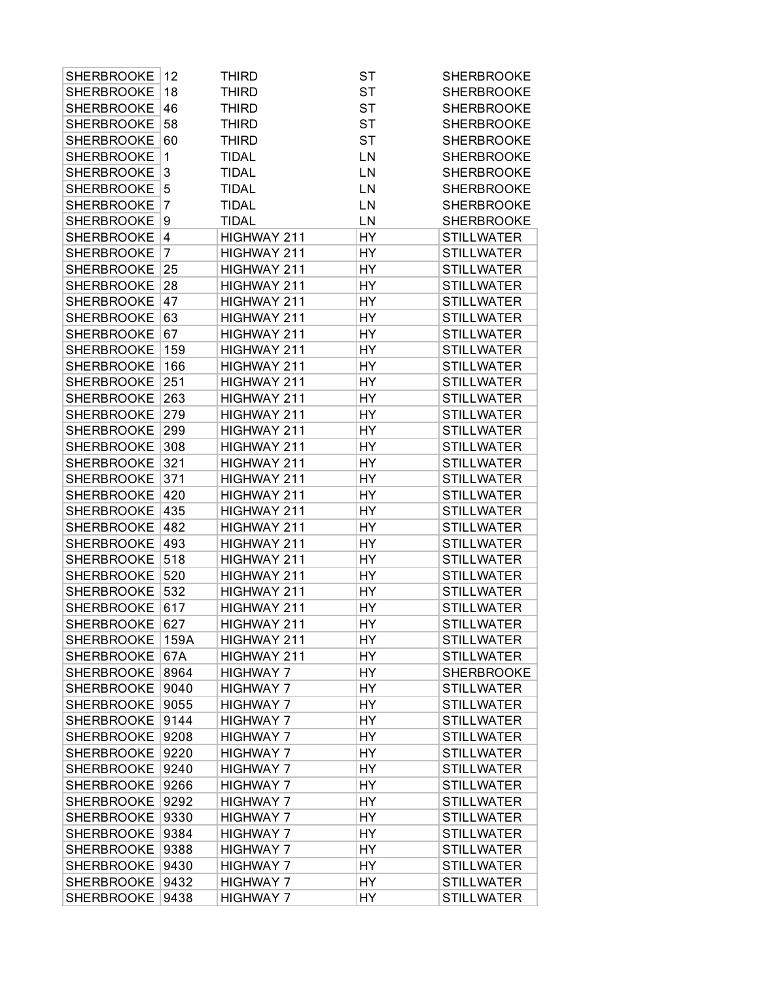| <b>SHERBROOKE</b> | 12             | <b>THIRD</b>     | ST        | <b>SHERBROOKE</b> |
|-------------------|----------------|------------------|-----------|-------------------|
| <b>SHERBROOKE</b> | 18             | <b>THIRD</b>     | <b>ST</b> | <b>SHERBROOKE</b> |
| <b>SHERBROOKE</b> | 46             | <b>THIRD</b>     | <b>ST</b> | <b>SHERBROOKE</b> |
| <b>SHERBROOKE</b> | 58             | <b>THIRD</b>     | <b>ST</b> | <b>SHERBROOKE</b> |
| <b>SHERBROOKE</b> | 60             | <b>THIRD</b>     | <b>ST</b> | <b>SHERBROOKE</b> |
| <b>SHERBROOKE</b> | 1              | <b>TIDAL</b>     | LN        | <b>SHERBROOKE</b> |
| <b>SHERBROOKE</b> | 3              | <b>TIDAL</b>     | LN        | <b>SHERBROOKE</b> |
| <b>SHERBROOKE</b> | 5              | <b>TIDAL</b>     | LN        | <b>SHERBROOKE</b> |
| <b>SHERBROOKE</b> | 7              | <b>TIDAL</b>     | LN        | <b>SHERBROOKE</b> |
| <b>SHERBROOKE</b> | 9              | <b>TIDAL</b>     | LN        | <b>SHERBROOKE</b> |
| <b>SHERBROOKE</b> | 4              | HIGHWAY 211      | HY        | <b>STILLWATER</b> |
| <b>SHERBROOKE</b> | $\overline{7}$ | HIGHWAY 211      | HY        | <b>STILLWATER</b> |
| <b>SHERBROOKE</b> | 25             | HIGHWAY 211      | HY        | <b>STILLWATER</b> |
| <b>SHERBROOKE</b> | 28             | HIGHWAY 211      | HY        | <b>STILLWATER</b> |
| <b>SHERBROOKE</b> | 47             | HIGHWAY 211      | HY        | <b>STILLWATER</b> |
| <b>SHERBROOKE</b> | 63             | HIGHWAY 211      | HY        | <b>STILLWATER</b> |
| <b>SHERBROOKE</b> | 67             | HIGHWAY 211      | HY        | <b>STILLWATER</b> |
| <b>SHERBROOKE</b> | 159            | HIGHWAY 211      | HY        | <b>STILLWATER</b> |
| <b>SHERBROOKE</b> | 166            | HIGHWAY 211      | HY        | <b>STILLWATER</b> |
| <b>SHERBROOKE</b> | 251            | HIGHWAY 211      | HY        | <b>STILLWATER</b> |
| <b>SHERBROOKE</b> | 263            | HIGHWAY 211      | HY        | <b>STILLWATER</b> |
| <b>SHERBROOKE</b> | 279            | HIGHWAY 211      | HY        | <b>STILLWATER</b> |
| <b>SHERBROOKE</b> | 299            | HIGHWAY 211      | HY        | <b>STILLWATER</b> |
| <b>SHERBROOKE</b> | 308            | HIGHWAY 211      | HY        | <b>STILLWATER</b> |
| <b>SHERBROOKE</b> | 321            | HIGHWAY 211      | HY        | <b>STILLWATER</b> |
| <b>SHERBROOKE</b> | 371            | HIGHWAY 211      | HY        | <b>STILLWATER</b> |
| <b>SHERBROOKE</b> | 420            | HIGHWAY 211      | HY        | <b>STILLWATER</b> |
| <b>SHERBROOKE</b> | 435            | HIGHWAY 211      | HY        | <b>STILLWATER</b> |
| <b>SHERBROOKE</b> | 482            | HIGHWAY 211      | HY        | <b>STILLWATER</b> |
| <b>SHERBROOKE</b> | 493            | HIGHWAY 211      | HY        | <b>STILLWATER</b> |
| <b>SHERBROOKE</b> | 518            | HIGHWAY 211      | HY        | <b>STILLWATER</b> |
| <b>SHERBROOKE</b> | 520            | HIGHWAY 211      | HY        | <b>STILLWATER</b> |
| <b>SHERBROOKE</b> | 532            | HIGHWAY 211      | HY        | <b>STILLWATER</b> |
| <b>SHERBROOKE</b> | 617            | HIGHWAY 211      | HY        | <b>STILLWATER</b> |
| SHERBROOKE 627    |                | HIGHWAY 211      | HY        | <b>STILLWATER</b> |
| <b>SHERBROOKE</b> | 159A           | HIGHWAY 211      | HΥ        | <b>STILLWATER</b> |
| <b>SHERBROOKE</b> | 67A            | HIGHWAY 211      | HΥ        | <b>STILLWATER</b> |
| <b>SHERBROOKE</b> | 8964           | <b>HIGHWAY 7</b> | HY        | <b>SHERBROOKE</b> |
| <b>SHERBROOKE</b> | 9040           | <b>HIGHWAY 7</b> | HY        | <b>STILLWATER</b> |
| <b>SHERBROOKE</b> | 9055           | <b>HIGHWAY 7</b> | HY        | <b>STILLWATER</b> |
| <b>SHERBROOKE</b> | 9144           | <b>HIGHWAY 7</b> | HY        | <b>STILLWATER</b> |
| <b>SHERBROOKE</b> | 9208           | <b>HIGHWAY 7</b> | HΥ        | <b>STILLWATER</b> |
| <b>SHERBROOKE</b> | 9220           | <b>HIGHWAY 7</b> | HΥ        | <b>STILLWATER</b> |
| <b>SHERBROOKE</b> | 9240           | <b>HIGHWAY 7</b> | HΥ        | <b>STILLWATER</b> |
| <b>SHERBROOKE</b> | 9266           | <b>HIGHWAY 7</b> | HΥ        | <b>STILLWATER</b> |
| <b>SHERBROOKE</b> | 9292           | <b>HIGHWAY 7</b> | HY        | <b>STILLWATER</b> |
| <b>SHERBROOKE</b> | 9330           | <b>HIGHWAY 7</b> | HY        | <b>STILLWATER</b> |
| <b>SHERBROOKE</b> | 9384           | <b>HIGHWAY 7</b> | HY        | <b>STILLWATER</b> |
| <b>SHERBROOKE</b> | 9388           | <b>HIGHWAY 7</b> | HΥ        | <b>STILLWATER</b> |
| <b>SHERBROOKE</b> | 9430           | <b>HIGHWAY 7</b> | HY        | <b>STILLWATER</b> |
| <b>SHERBROOKE</b> | 9432           | <b>HIGHWAY 7</b> | HY        | <b>STILLWATER</b> |
| SHERBROOKE        | 9438           | <b>HIGHWAY 7</b> | HY        | <b>STILLWATER</b> |
|                   |                |                  |           |                   |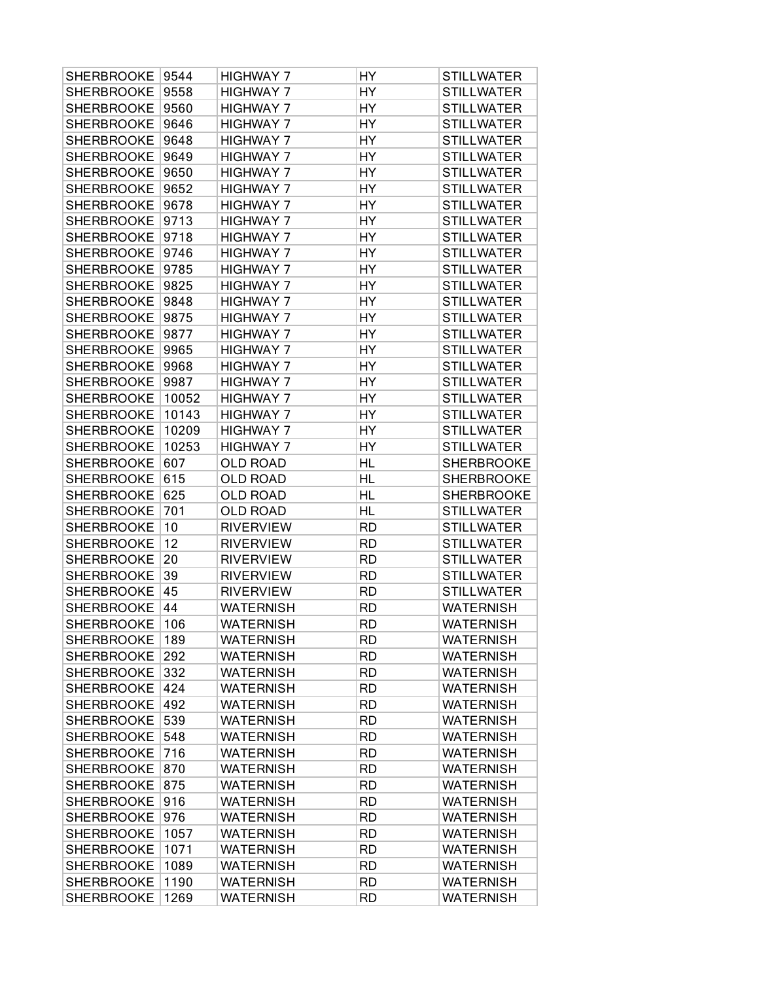| <b>SHERBROOKE</b> | 9544  | <b>HIGHWAY 7</b> | HY        | <b>STILLWATER</b> |
|-------------------|-------|------------------|-----------|-------------------|
| <b>SHERBROOKE</b> | 9558  | <b>HIGHWAY 7</b> | HY        | <b>STILLWATER</b> |
| <b>SHERBROOKE</b> | 9560  | <b>HIGHWAY 7</b> | HY        | <b>STILLWATER</b> |
| <b>SHERBROOKE</b> | 9646  | <b>HIGHWAY 7</b> | HY        | <b>STILLWATER</b> |
| <b>SHERBROOKE</b> | 9648  | <b>HIGHWAY 7</b> | HY        | <b>STILLWATER</b> |
| <b>SHERBROOKE</b> | 9649  | <b>HIGHWAY 7</b> | HY        | <b>STILLWATER</b> |
| <b>SHERBROOKE</b> | 9650  | <b>HIGHWAY 7</b> | HY        | <b>STILLWATER</b> |
| <b>SHERBROOKE</b> | 9652  | <b>HIGHWAY 7</b> | HY        | <b>STILLWATER</b> |
| <b>SHERBROOKE</b> | 9678  | <b>HIGHWAY 7</b> | HY        | <b>STILLWATER</b> |
| <b>SHERBROOKE</b> | 9713  | <b>HIGHWAY 7</b> | HY        | <b>STILLWATER</b> |
| <b>SHERBROOKE</b> | 9718  | <b>HIGHWAY 7</b> | HY        | <b>STILLWATER</b> |
| <b>SHERBROOKE</b> | 9746  | <b>HIGHWAY 7</b> | HY        | <b>STILLWATER</b> |
| <b>SHERBROOKE</b> | 9785  | <b>HIGHWAY 7</b> | HY        | <b>STILLWATER</b> |
| <b>SHERBROOKE</b> | 9825  | <b>HIGHWAY 7</b> | HY        | <b>STILLWATER</b> |
| <b>SHERBROOKE</b> | 9848  | <b>HIGHWAY 7</b> | HY        | <b>STILLWATER</b> |
| <b>SHERBROOKE</b> | 9875  | <b>HIGHWAY 7</b> | HY        | <b>STILLWATER</b> |
| <b>SHERBROOKE</b> | 9877  | <b>HIGHWAY 7</b> | HY        | <b>STILLWATER</b> |
| <b>SHERBROOKE</b> | 9965  | <b>HIGHWAY 7</b> | HY        | <b>STILLWATER</b> |
| <b>SHERBROOKE</b> | 9968  | <b>HIGHWAY 7</b> | HY        | <b>STILLWATER</b> |
| <b>SHERBROOKE</b> | 9987  | <b>HIGHWAY 7</b> | HY        | <b>STILLWATER</b> |
| <b>SHERBROOKE</b> | 10052 | <b>HIGHWAY 7</b> | HY        | <b>STILLWATER</b> |
| <b>SHERBROOKE</b> | 10143 | <b>HIGHWAY 7</b> | HY        | <b>STILLWATER</b> |
| <b>SHERBROOKE</b> | 10209 | <b>HIGHWAY 7</b> | HY        | <b>STILLWATER</b> |
| <b>SHERBROOKE</b> | 10253 | <b>HIGHWAY 7</b> | HY        | <b>STILLWATER</b> |
| <b>SHERBROOKE</b> | 607   | <b>OLD ROAD</b>  | HL        | <b>SHERBROOKE</b> |
| <b>SHERBROOKE</b> | 615   | <b>OLD ROAD</b>  | <b>HL</b> | <b>SHERBROOKE</b> |
| <b>SHERBROOKE</b> | 625   | <b>OLD ROAD</b>  | <b>HL</b> | <b>SHERBROOKE</b> |
| <b>SHERBROOKE</b> | 701   | <b>OLD ROAD</b>  | HL        | <b>STILLWATER</b> |
| <b>SHERBROOKE</b> | 10    | <b>RIVERVIEW</b> | <b>RD</b> | <b>STILLWATER</b> |
| <b>SHERBROOKE</b> | 12    | <b>RIVERVIEW</b> | <b>RD</b> | <b>STILLWATER</b> |
| <b>SHERBROOKE</b> | 20    | <b>RIVERVIEW</b> | <b>RD</b> | <b>STILLWATER</b> |
| <b>SHERBROOKE</b> | 39    | <b>RIVERVIEW</b> | <b>RD</b> | <b>STILLWATER</b> |
| <b>SHERBROOKE</b> | 45    | <b>RIVERVIEW</b> | <b>RD</b> | <b>STILLWATER</b> |
| <b>SHERBROOKE</b> | 44    | <b>WATERNISH</b> | <b>RD</b> | <b>WATERNISH</b>  |
| <b>SHERBROOKE</b> | 106   | <b>WATERNISH</b> | <b>RD</b> | <b>WATERNISH</b>  |
| <b>SHERBROOKE</b> | 189   | <b>WATERNISH</b> | <b>RD</b> | <b>WATERNISH</b>  |
| <b>SHERBROOKE</b> | 292   | <b>WATERNISH</b> | <b>RD</b> | <b>WATERNISH</b>  |
| <b>SHERBROOKE</b> | 332   | <b>WATERNISH</b> | <b>RD</b> | <b>WATERNISH</b>  |
| <b>SHERBROOKE</b> | 424   | <b>WATERNISH</b> | <b>RD</b> | <b>WATERNISH</b>  |
| <b>SHERBROOKE</b> | 492   | <b>WATERNISH</b> | <b>RD</b> | <b>WATERNISH</b>  |
| <b>SHERBROOKE</b> | 539   | <b>WATERNISH</b> | <b>RD</b> | <b>WATERNISH</b>  |
| <b>SHERBROOKE</b> | 548   | <b>WATERNISH</b> | <b>RD</b> | <b>WATERNISH</b>  |
| <b>SHERBROOKE</b> | 716   | <b>WATERNISH</b> | <b>RD</b> | <b>WATERNISH</b>  |
| <b>SHERBROOKE</b> | 870   | <b>WATERNISH</b> | <b>RD</b> | <b>WATERNISH</b>  |
| <b>SHERBROOKE</b> | 875   | <b>WATERNISH</b> | <b>RD</b> | <b>WATERNISH</b>  |
| <b>SHERBROOKE</b> | 916   | <b>WATERNISH</b> | <b>RD</b> | <b>WATERNISH</b>  |
| <b>SHERBROOKE</b> | 976   | <b>WATERNISH</b> | <b>RD</b> | <b>WATERNISH</b>  |
| <b>SHERBROOKE</b> | 1057  | <b>WATERNISH</b> | <b>RD</b> | <b>WATERNISH</b>  |
| <b>SHERBROOKE</b> | 1071  | <b>WATERNISH</b> | <b>RD</b> | <b>WATERNISH</b>  |
| <b>SHERBROOKE</b> | 1089  | <b>WATERNISH</b> | <b>RD</b> | <b>WATERNISH</b>  |
| <b>SHERBROOKE</b> | 1190  | <b>WATERNISH</b> | <b>RD</b> | <b>WATERNISH</b>  |
| <b>SHERBROOKE</b> | 1269  | <b>WATERNISH</b> | <b>RD</b> | <b>WATERNISH</b>  |